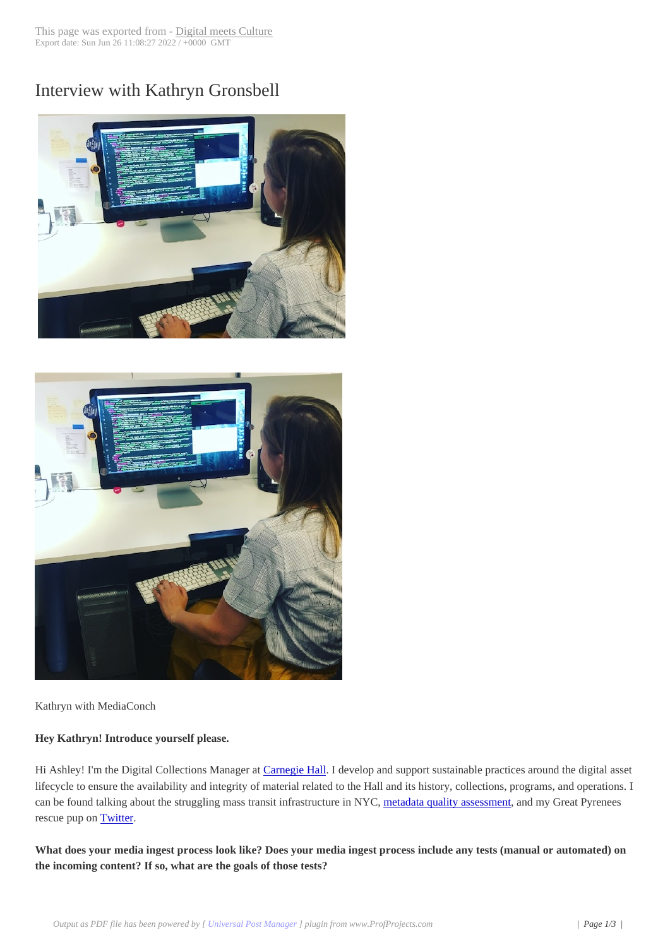# Interview with Kat[hryn Gronsbel](http://www.digitalmeetsculture.net/?p=45283)l





[Kathryn with MediaConch](http://www.digitalmeetsculture.net/wp-content/uploads/2017/07/gronsbell-mediaconch.jpg)

# **Hey Kathryn! Introduce yourself please.**

Hi Ashley! I'm the Digital Collections Manager at Carnegie Hall. I develop and support sustainable practices around the digital asset lifecycle to ensure the availability and integrity of material related to the Hall and its history, collections, programs, and operations. I can be found talking about the struggling mass transit infrastructure in NYC, metadata quality assessment, and my Great Pyrenees rescue pup on **Twitter**.

**What does your media ingest process look like? Does your media ingest [process include any tests \(m](http://dlfmetadataassessment.github.io/)anual or automated) on the incoming [content](https://twitter.com/k_grons)? If so, what are the goals of those tests?**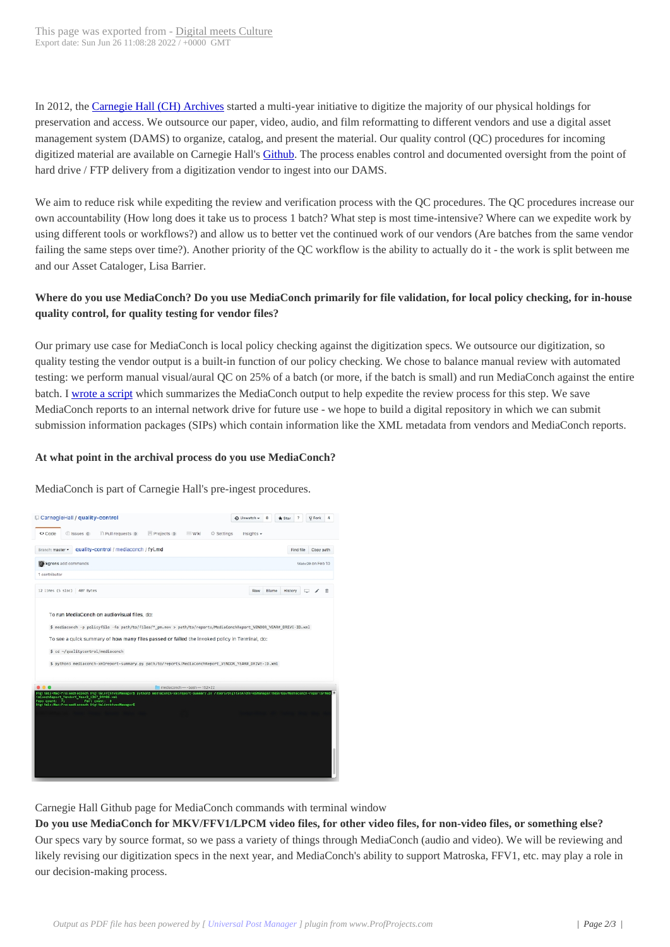In 2012, the Carnegie Hall (CH) Archives started a multi-year initiative to digitize the majority of our physical holdings for preservation and access. We outsource our paper, video, audio, and film reformatting to different vendors and use a digital asset management system (DAMS) to organize, catalog, and present the material. Our quality control (QC) procedures for incoming digitized material are available on Carnegie Hall's **Github**. The process enables control and documented oversight from the point of hard drive / [FTP delivery from a digitizati](https://www.carnegiehall.org/History/Carnegie-Hall-Archives/)on vendor to ingest into our DAMS.

We aim to reduce risk while expediting the review and verification process with the OC procedures. The OC procedures increase our own accountability (How long does it take us to pr[ocess 1](https://github.com/CarnegieHall/quality-control/blob/master/qc-workflow-overview.md) batch? What step is most time-intensive? Where can we expedite work by using different tools or workflows?) and allow us to better vet the continued work of our vendors (Are batches from the same vendor failing the same steps over time?). Another priority of the QC workflow is the ability to actually do it - the work is split between me and our Asset Cataloger, Lisa Barrier.

# **Where do you use MediaConch? Do you use MediaConch primarily for file validation, for local policy checking, for in-house quality control, for quality testing for vendor files?**

Our primary use case for MediaConch is local policy checking against the digitization specs. We outsource our digitization, so quality testing the vendor output is a built-in function of our policy checking. We chose to balance manual review with automated testing: we perform manual visual/aural QC on 25% of a batch (or more, if the batch is small) and run MediaConch against the entire batch. I wrote a script which summarizes the MediaConch output to help expedite the review process for this step. We save MediaConch reports to an internal network drive for future use - we hope to build a digital repository in which we can submit submission information packages (SIPs) which contain information like the XML metadata from vendors and MediaConch reports.

#### **At wha[t point in the](https://github.com/CarnegieHall/quality-control/tree/master/mediaconch) archival process do you use MediaConch?**

MediaConch is part of Carnegie Hall's pre-ingest procedures.



Carnegie Hall Github page for MediaConch commands with terminal window

**[Do you use MediaConch for MKV/FFV1/LPCM video files, for](http://www.digitalmeetsculture.net/wp-content/uploads/2017/07/kg-mediaconch-summary.png) other video files, for non-video files, or something else?** Our specs vary by source format, so we pass a variety of things through MediaConch (audio and video). We will be reviewing and likely revising our digitization specs in the next year, and MediaConch's ability to support Matroska, FFV1, etc. may play a role in our decision-making process.